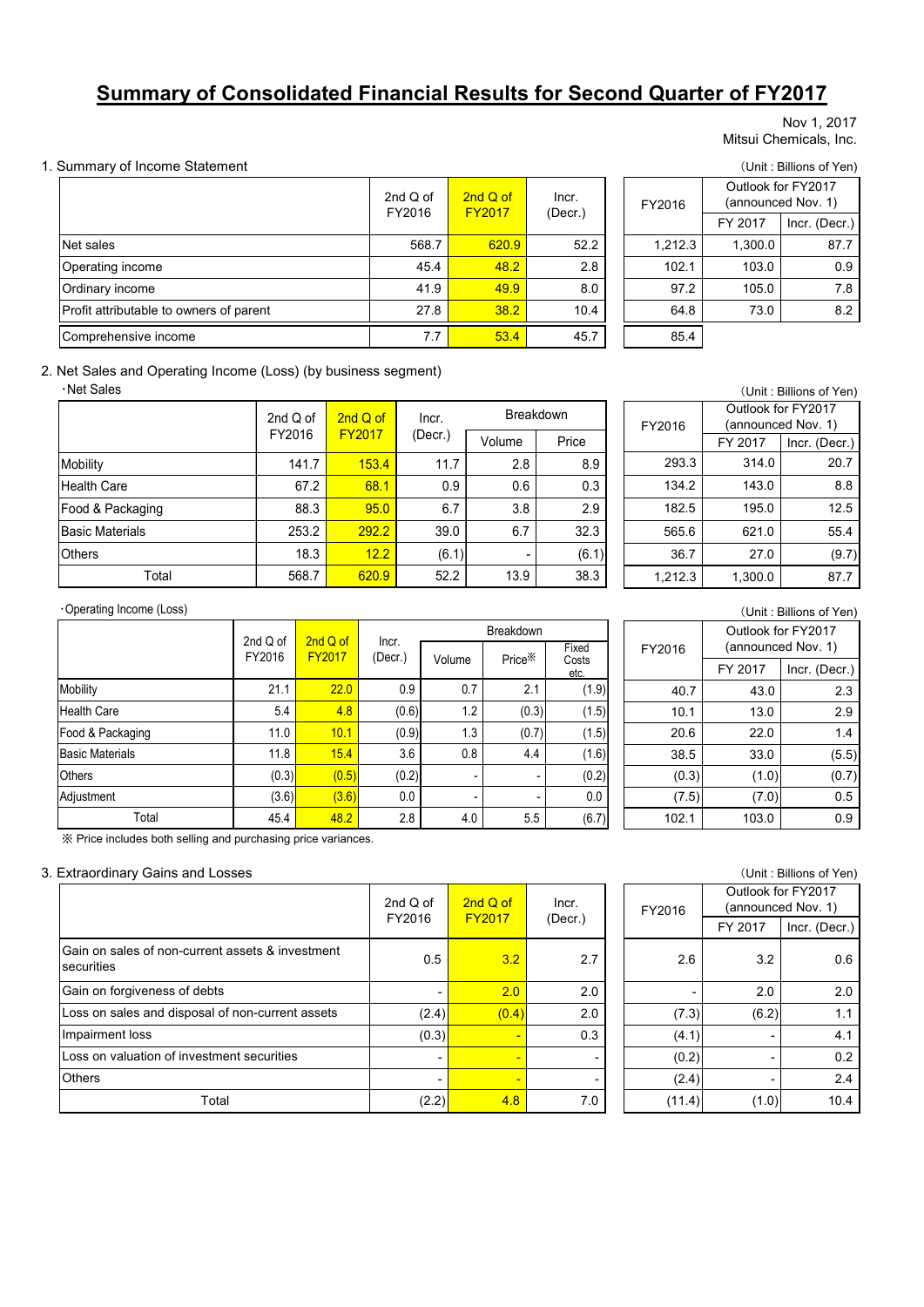# **Summary of Consolidated Financial Results for Second Quarter of FY2017**

#### Nov 1, 2017 Mitsui Chemicals, Inc.

#### 1. Summary of Income Statement (Unit : Billions of Yen)

|                                         | 2nd $Q$ of<br>FY2016 | 2nd Q of<br><b>FY2017</b> | Incr.   | FY2016  | Outlook for FY2017<br>(announced Nov. 1) |               |
|-----------------------------------------|----------------------|---------------------------|---------|---------|------------------------------------------|---------------|
|                                         |                      |                           | (Decr.) |         | FY 2017                                  | Incr. (Decr.) |
| Net sales                               | 568.7                | 620.9                     | 52.2    | 1.212.3 | 1.300.0                                  | 87.7          |
| Operating income                        | 45.4                 | 48.2                      | 2.8     | 102.1   | 103.0                                    | 0.9           |
| Ordinary income                         | 41.9                 | 49.9                      | 8.0     | 97.2    | 105.0                                    | 7.8           |
| Profit attributable to owners of parent | 27.8                 | 38.2                      | 10.4    | 64.8    | 73.0                                     | 8.2           |
| Comprehensive income                    |                      | 53.4                      | 45.7    | 85.4    |                                          |               |

FY 2017 Incr. (Decr.) 568.7 620.9 52.2 1,212.3 1,300.0 87.7 45.4 <mark>| 48.2 |</mark> 2.8 | 102.1 | 103.0 | 0.9 FY2016 Outlook for FY2017 (announced Nov. 1)

#### 2. Net Sales and Operating Income (Loss) (by business segment)

・Net Sales

|                        | 2nd Q of | 2nd Q of      | Incr.   | <b>Breakdown</b> |       |  |
|------------------------|----------|---------------|---------|------------------|-------|--|
|                        | FY2016   | <b>FY2017</b> | (Decr.) | Volume           | Price |  |
| Mobility               | 141.7    | 153.4         | 11.7    | 2.8              | 8.9   |  |
| Health Care            | 67.2     | 68.1          | 0.9     | 0.6              | 0.3   |  |
| Food & Packaging       | 88.3     | 95.0          | 6.7     | 3.8              | 2.9   |  |
| <b>Basic Materials</b> | 253.2    | 292.2         | 39.0    | 6.7              | 32.3  |  |
| <b>Others</b>          | 18.3     | 12.2          | (6.1)   |                  | (6.1) |  |
| Total                  | 568.7    | 620.9         | 52.2    | 13.9             | 38.3  |  |

| (Unit: Billions of Yen) |                    |                    |  |  |  |  |  |
|-------------------------|--------------------|--------------------|--|--|--|--|--|
|                         | Outlook for FY2017 |                    |  |  |  |  |  |
| FY2016                  |                    | (announced Nov. 1) |  |  |  |  |  |
|                         | FY 2017            | Incr. (Decr.)      |  |  |  |  |  |
| 293.3                   | 314.0              | 20.7               |  |  |  |  |  |
| 134.2                   | 143.0              | 8.8                |  |  |  |  |  |
| 182.5                   | 195.0              | 12.5               |  |  |  |  |  |
| 565.6                   | 621.0              | 55.4               |  |  |  |  |  |
| 36.7                    | 27.0               | (9.7)              |  |  |  |  |  |
| 1,212.3                 | 1,300.0            | 87.7               |  |  |  |  |  |

#### ・Operating Income (Loss)

|                        | 2nd Q of | 2nd Q of      |                  | <b>Breakdown</b> |                    |                        |  |  |
|------------------------|----------|---------------|------------------|------------------|--------------------|------------------------|--|--|
|                        | FY2016   | <b>FY2017</b> | Incr.<br>(Decr.) | Volume           | Price <sup>※</sup> | Fixed<br>Costs<br>etc. |  |  |
| Mobility               | 21.1     | 22.0          | 0.9              | 0.7              | 2.1                | (1.9)                  |  |  |
| <b>Health Care</b>     | 5.4      | 4.8           | (0.6)            | 1.2              | (0.3)              | (1.5)                  |  |  |
| Food & Packaging       | 11.0     | 10.1          | (0.9)            | 1.3              | (0.7)              | (1.5)                  |  |  |
| <b>Basic Materials</b> | 11.8     | 15.4          | 3.6              | 0.8              | 4.4                | (1.6)                  |  |  |
| <b>Others</b>          | (0.3)    | (0.5)         | (0.2)            |                  | -                  | (0.2)                  |  |  |
| Adjustment             | (3.6)    | (3.6)         | 0.0              |                  |                    | 0.0                    |  |  |
| Total                  | 45.4     | 48.2          | 2.8              | 4.0              | 5.5                | (6.7)                  |  |  |

|  |  |  | X Price includes both selling and purchasing price variances. |  |
|--|--|--|---------------------------------------------------------------|--|
|  |  |  |                                                               |  |

#### 3. Extraordinary Gains and Losses (Unit : Billions of Yen)

|                                                                            | 2nd $Q$ of               | 2nd Q of<br><b>FY2017</b> | Incr.   | FY2016 | Outlook for FY2017 | (announced Nov. 1) |
|----------------------------------------------------------------------------|--------------------------|---------------------------|---------|--------|--------------------|--------------------|
|                                                                            | FY2016                   |                           | (Decr.) |        | FY 2017            | Incr. (Decr.       |
| <b>IGain on sales of non-current assets &amp; investment</b><br>securities | 0.5                      | 3.2                       | 2.7     | 2.6    | 3.2                | 0.6                |
| Gain on forgiveness of debts                                               |                          | 2.0                       | 2.0     |        | 2.0                | 2.0                |
| Loss on sales and disposal of non-current assets                           | (2.4)                    | (0.4)                     | 2.0     | (7.3)  | (6.2)              | 1.1                |
| Impairment loss                                                            | (0.3)                    |                           | 0.3     | (4.1)  |                    | 4.1                |
| Loss on valuation of investment securities                                 | $\overline{\phantom{0}}$ |                           |         | (0.2)  |                    | 0.2                |
| <b>Others</b>                                                              |                          | $\blacksquare$            |         | (2.4)  |                    | 2.4                |
| Total                                                                      | (2.2)                    | 4.8                       | 7.0     | (11.4) | (1.0)              | 10.4               |

| (Unit: Billions of Yen) |                    |                    |  |  |  |  |
|-------------------------|--------------------|--------------------|--|--|--|--|
| FY2016                  | (announced Nov. 1) | Outlook for FY2017 |  |  |  |  |
|                         | FY 2017            | Incr. (Decr.)      |  |  |  |  |
| 40.7                    | 43.0               | 2.3                |  |  |  |  |
| 10.1                    | 13.0               | 2.9                |  |  |  |  |
| 20.6                    | 22.0               | 1.4                |  |  |  |  |
| 38.5                    | 33.0               | (5.5)              |  |  |  |  |
| (0.3)                   | (1.0)              | (0.7)              |  |  |  |  |
| (7.5)                   | (7.0)              | 0.5                |  |  |  |  |
| 102.1                   | 103.0              | 0.9                |  |  |  |  |

|       | $\overline{O}$ $\overline{O}$ $\overline{O}$ $\overline{O}$ $\overline{O}$ $\overline{O}$ $\overline{O}$ $\overline{O}$ $\overline{O}$ $\overline{O}$ |         |        |         |                                          |  |  |  |  |  |  |
|-------|-------------------------------------------------------------------------------------------------------------------------------------------------------|---------|--------|---------|------------------------------------------|--|--|--|--|--|--|
| of    | $2ndQ$ of<br><b>FY2017</b>                                                                                                                            | Incr.   | FY2016 |         | Outlook for FY2017<br>(announced Nov. 1) |  |  |  |  |  |  |
| 16    |                                                                                                                                                       | (Decr.) |        | FY 2017 | Incr. (Decr.)                            |  |  |  |  |  |  |
| 0.5   | 3.2                                                                                                                                                   | 2.7     | 2.6    | 3.2     | 0.6                                      |  |  |  |  |  |  |
|       | 2.0                                                                                                                                                   | 2.0     |        | 2.0     | 2.0                                      |  |  |  |  |  |  |
| (2.4) | (0.4)                                                                                                                                                 | 2.0     | (7.3)  | (6.2)   | 1.1                                      |  |  |  |  |  |  |
| (0.3) | $\blacksquare$                                                                                                                                        | 0.3     | (4.1)  | ٠       | 4.1                                      |  |  |  |  |  |  |
| ۰     | $\blacksquare$                                                                                                                                        | -       | (0.2)  | ۰       | 0.2                                      |  |  |  |  |  |  |
| ۰     | $\blacksquare$                                                                                                                                        |         | (2.4)  | ٠       | 2.4                                      |  |  |  |  |  |  |
| (2.2) | 4.8                                                                                                                                                   | 7.0     | (11.4) | (1.0)   | 10.4                                     |  |  |  |  |  |  |
|       |                                                                                                                                                       |         |        |         |                                          |  |  |  |  |  |  |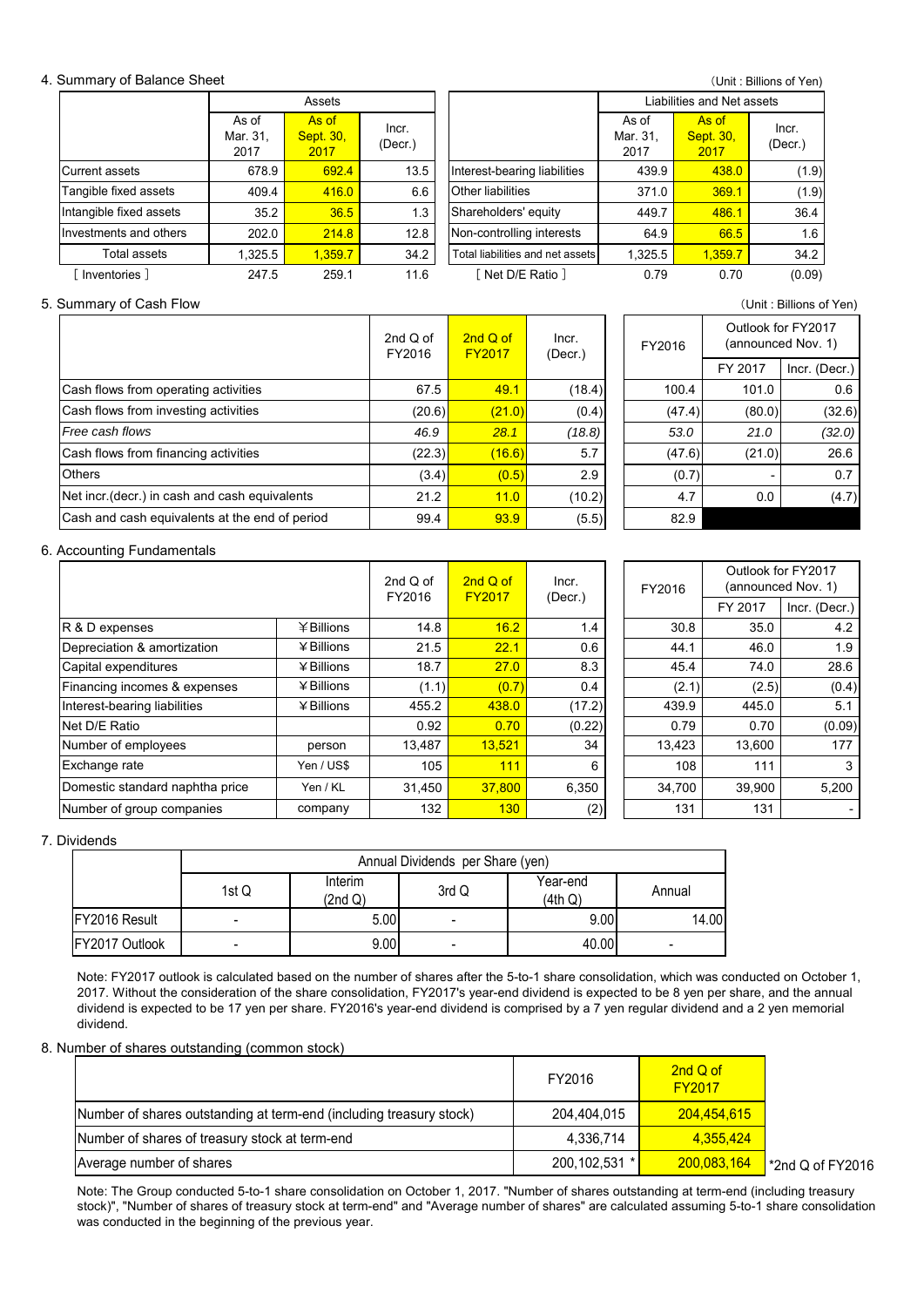#### 4. Summary of Balance Sheet

(Unit : Billions of Yen)

|                         |                           | Assets                            |                  |                                  | Liabilities and Net assets |                            |                  |  |
|-------------------------|---------------------------|-----------------------------------|------------------|----------------------------------|----------------------------|----------------------------|------------------|--|
|                         | As of<br>Mar. 31,<br>2017 | As of<br><b>Sept. 30,</b><br>2017 | Incr.<br>(Decr.) |                                  | As of<br>Mar. 31,<br>2017  | As of<br>Sept. 30,<br>2017 | Incr.<br>(Decr.) |  |
| Current assets          | 678.9                     | 692.4                             | 13.5             | Interest-bearing liabilities     | 439.9                      | 438.0                      | (1.9)            |  |
| Tangible fixed assets   | 409.4                     | 416.0                             | 6.6              | <b>Other liabilities</b>         | 371.0                      | 369.1                      | (1.9)            |  |
| Intangible fixed assets | 35.2                      | 36.5                              | 1.3 <sub>1</sub> | Shareholders' equity             | 449.7                      | 486.1                      | 36.4             |  |
| Investments and others  | 202.0                     | 214.8                             | 12.8             | Non-controlling interests        | 64.9                       | 66.5                       | 1.6              |  |
| Total assets            | 1,325.5                   | 1.359.7                           | 34.2             | Total liabilities and net assets | 1,325.5                    | 1,359.7                    | 34.2             |  |
| Inventories 1           | 247.5                     | 259.1                             | 11.6             | 「Net D/E Ratio]                  | 0.79                       | 0.70                       | (0.09)           |  |

#### 5. Summary of Cash Flow (Unit : Billions of Yen)

Cash flows from financing activities **Others** Net incr.(decr.) in cash and cash equivalents 2nd Q of FY2017 Incr. (Decr.) Cash flows from operating activities Cash flows from investing activities *Free cash flows* Cash and cash equivalents at the end of period 2nd Q of FY2016

| d of<br>016 | 2nd Q of<br><b>FY2017</b> | Incr.<br>(Decr.) | FY2016  |               | Outlook for FY2017<br>(announced Nov. 1) |
|-------------|---------------------------|------------------|---------|---------------|------------------------------------------|
|             |                           |                  | FY 2017 | Incr. (Decr.) |                                          |
| 67.5        | 49.1                      | (18.4)           | 100.4   | 101.0         | 0.6                                      |
| (20.6)      | (21.0)                    | (0.4)            | (47.4)  | (80.0)        | (32.6)                                   |
| 46.9        | 28.1                      | (18.8)           | 53.0    | 21.0          | (32.0)                                   |
| (22.3)      | (16.6)                    | 5.7              | (47.6)  | (21.0)        | 26.6                                     |
| (3.4)       | (0.5)                     | 2.9              | (0.7)   | ٠             | 0.7                                      |
| 21.2        | 11.0                      | (10.2)           | 4.7     | 0.0           | (4.7)                                    |
| 99.4        | 93.9                      | (5.5)            | 82.9    |               |                                          |

#### 6. Accounting Fundamentals

|                                 |              |        | $2nd$ Q of<br>2nd Q of<br>FY2016<br><b>FY2017</b><br>(Decr.) | Incr.  |  |        | Outlook for FY2017<br>(announced Nov. 1) |               |
|---------------------------------|--------------|--------|--------------------------------------------------------------|--------|--|--------|------------------------------------------|---------------|
|                                 |              |        |                                                              |        |  |        | FY 2017                                  | Incr. (Decr.) |
| R & D expenses                  | ¥Billions    | 14.8   | 16.2                                                         | 1.4    |  | 30.8   | 35.0                                     | 4.2           |
| Depreciation & amortization     | ¥ Billions   | 21.5   | 22.1                                                         | 0.6    |  | 44.1   | 46.0                                     | 1.9           |
| Capital expenditures            | ¥ Billions   | 18.7   | 27.0                                                         | 8.3    |  | 45.4   | 74.0                                     | 28.6          |
| Financing incomes & expenses    | $4$ Billions | (1.1)  | (0.7)                                                        | 0.4    |  | (2.1)  | (2.5)                                    | (0.4)         |
| Interest-bearing liabilities    | ¥ Billions   | 455.2  | 438.0                                                        | (17.2) |  | 439.9  | 445.0                                    | 5.1           |
| Net D/E Ratio                   |              | 0.92   | 0.70                                                         | (0.22) |  | 0.79   | 0.70                                     | (0.09)        |
| Number of employees             | person       | 13,487 | 13,521                                                       | 34     |  | 13,423 | 13,600                                   | 177           |
| Exchange rate                   | Yen / US\$   | 105    | 111                                                          | 6      |  | 108    | 111                                      | 3             |
| Domestic standard naphtha price | Yen / KL     | 31,450 | 37,800                                                       | 6,350  |  | 34,700 | 39,900                                   | 5,200         |
| Number of group companies       | company      | 132    | 130                                                          | (2)    |  | 131    | 131                                      |               |

7. Dividends

|                        |       | Annual Dividends per Share (yen) |       |                     |        |  |  |  |  |
|------------------------|-------|----------------------------------|-------|---------------------|--------|--|--|--|--|
|                        | 1st Q | Interim<br>(2nd Q)               | 3rd Q | Year-end<br>(4th Q) | Annual |  |  |  |  |
| FY2016 Result          |       | 5.00                             |       | 9.00                | 14.00  |  |  |  |  |
| <b>IFY2017 Outlook</b> |       | 9.00                             |       | 40.00               | ٠      |  |  |  |  |

Note: FY2017 outlook is calculated based on the number of shares after the 5-to-1 share consolidation, which was conducted on October 1, 2017. Without the consideration of the share consolidation, FY2017's year-end dividend is expected to be 8 yen per share, and the annual dividend is expected to be 17 yen per share. FY2016's year-end dividend is comprised by a 7 yen regular dividend and a 2 yen memorial dividend.

#### 8. Number of shares outstanding (common stock)

|                                                                     | FY2016          | 2nd Q of<br><b>FY2017</b> |                                |
|---------------------------------------------------------------------|-----------------|---------------------------|--------------------------------|
| Number of shares outstanding at term-end (including treasury stock) | 204,404,015     | 204,454,615               |                                |
| Number of shares of treasury stock at term-end                      | 4,336,714       | 4.355.424                 |                                |
| Average number of shares                                            | 200, 102, 531 * | 200,083,164               | $\frac{1}{2}$ *2nd Q of FY2016 |

Note: The Group conducted 5-to-1 share consolidation on October 1, 2017. "Number of shares outstanding at term-end (including treasury stock)", "Number of shares of treasury stock at term-end" and "Average number of shares" are calculated assuming 5-to-1 share consolidation was conducted in the beginning of the previous year.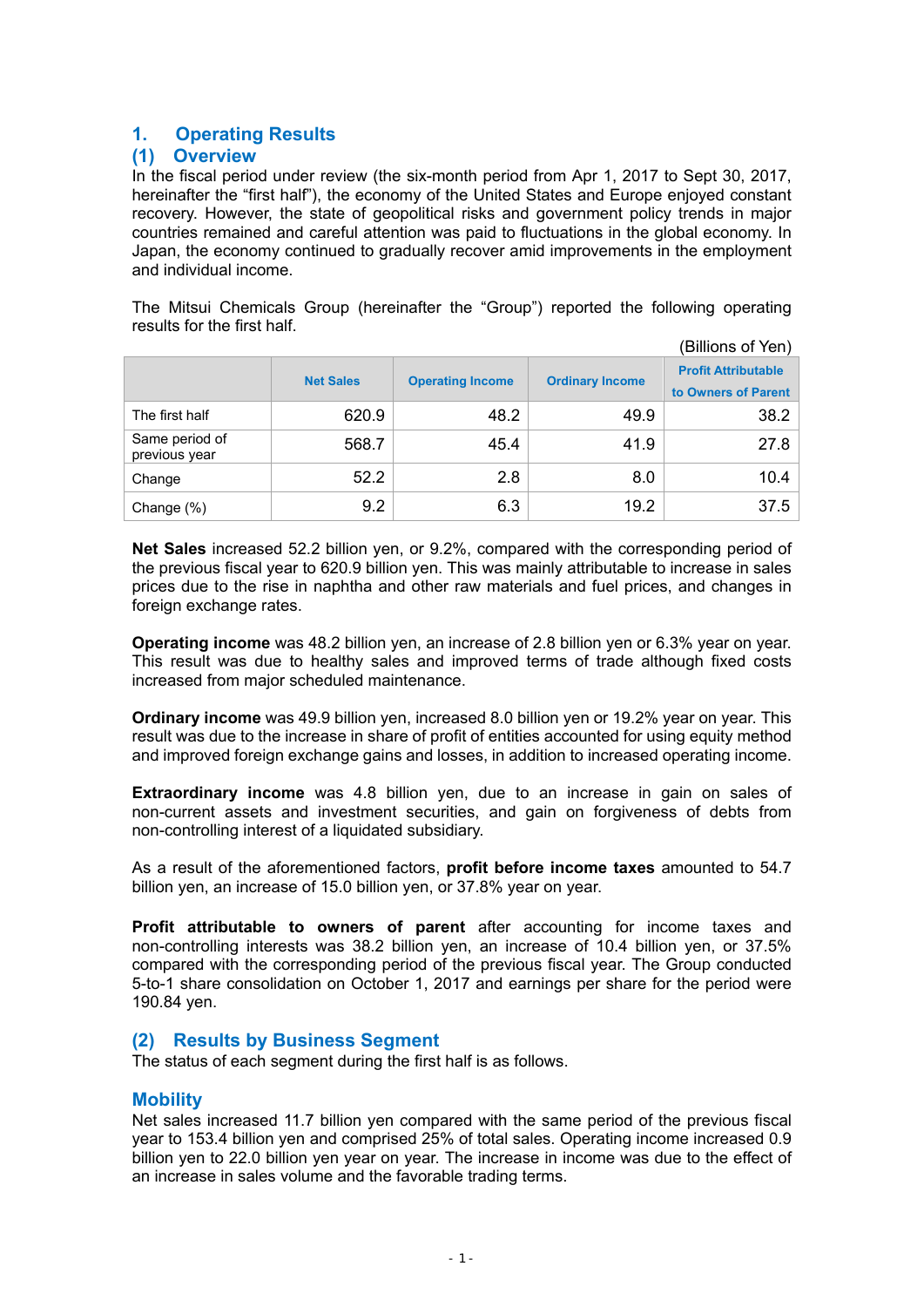# **1. Operating Results**

# **(1) Overview**

In the fiscal period under review (the six-month period from Apr 1, 2017 to Sept 30, 2017, hereinafter the "first half"), the economy of the United States and Europe enjoyed constant recovery. However, the state of geopolitical risks and government policy trends in major countries remained and careful attention was paid to fluctuations in the global economy. In Japan, the economy continued to gradually recover amid improvements in the employment and individual income.

The Mitsui Chemicals Group (hereinafter the "Group") reported the following operating results for the first half.  $\sqrt{8}$ ilions of  $\sqrt{8}$ 

| (Billions of Yen)               |                  |                         |                        |                                                   |  |  |
|---------------------------------|------------------|-------------------------|------------------------|---------------------------------------------------|--|--|
|                                 | <b>Net Sales</b> | <b>Operating Income</b> | <b>Ordinary Income</b> | <b>Profit Attributable</b><br>to Owners of Parent |  |  |
| The first half                  | 620.9            | 48.2                    | 49.9                   | 38.2                                              |  |  |
| Same period of<br>previous year | 568.7            | 45.4                    | 41.9                   | 27.8                                              |  |  |
| Change                          | 52.2             | 2.8                     | 8.0                    | 10.4                                              |  |  |
| Change (%)                      | 9.2              | 6.3                     | 19.2                   | 37.5                                              |  |  |

**Net Sales** increased 52.2 billion yen, or 9.2%, compared with the corresponding period of the previous fiscal year to 620.9 billion yen. This was mainly attributable to increase in sales prices due to the rise in naphtha and other raw materials and fuel prices, and changes in foreign exchange rates.

**Operating income** was 48.2 billion yen, an increase of 2.8 billion yen or 6.3% year on year. This result was due to healthy sales and improved terms of trade although fixed costs increased from major scheduled maintenance.

**Ordinary income** was 49.9 billion yen, increased 8.0 billion yen or 19.2% year on year. This result was due to the increase in share of profit of entities accounted for using equity method and improved foreign exchange gains and losses, in addition to increased operating income.

**Extraordinary income** was 4.8 billion yen, due to an increase in gain on sales of non-current assets and investment securities, and gain on forgiveness of debts from non-controlling interest of a liquidated subsidiary.

As a result of the aforementioned factors, **profit before income taxes** amounted to 54.7 billion yen, an increase of 15.0 billion yen, or 37.8% year on year.

**Profit attributable to owners of parent** after accounting for income taxes and non-controlling interests was 38.2 billion yen, an increase of 10.4 billion yen, or 37.5% compared with the corresponding period of the previous fiscal year. The Group conducted 5-to-1 share consolidation on October 1, 2017 and earnings per share for the period were 190.84 yen.

# **(2) Results by Business Segment**

The status of each segment during the first half is as follows.

# **Mobility**

Net sales increased 11.7 billion yen compared with the same period of the previous fiscal year to 153.4 billion yen and comprised 25% of total sales. Operating income increased 0.9 billion yen to 22.0 billion yen year on year. The increase in income was due to the effect of an increase in sales volume and the favorable trading terms.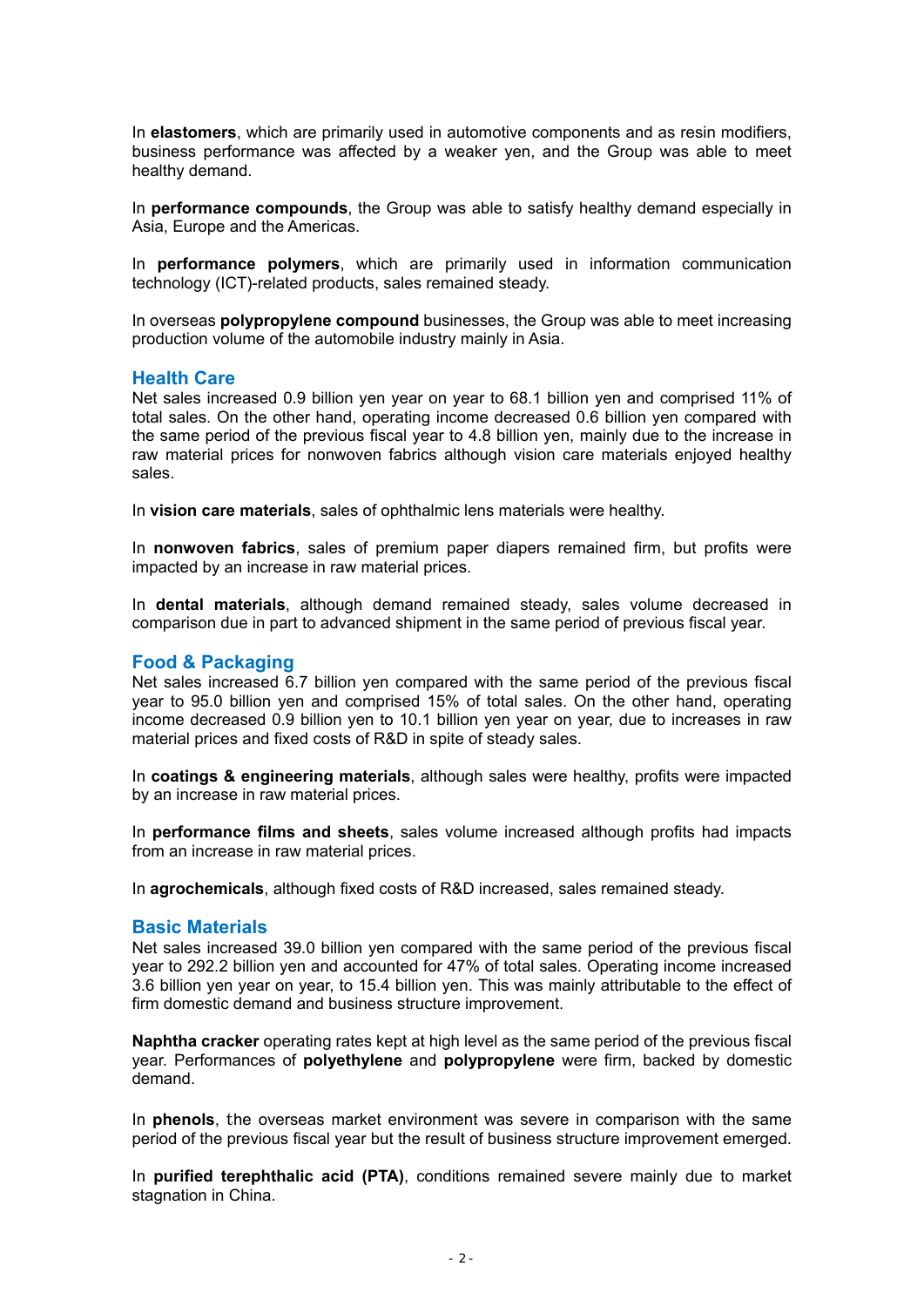In **elastomers**, which are primarily used in automotive components and as resin modifiers, business performance was affected by a weaker yen, and the Group was able to meet healthy demand.

In **performance compounds**, the Group was able to satisfy healthy demand especially in Asia, Europe and the Americas.

In **performance polymers**, which are primarily used in information communication technology (ICT)-related products, sales remained steady.

In overseas **polypropylene compound** businesses, the Group was able to meet increasing production volume of the automobile industry mainly in Asia.

### **Health Care**

Net sales increased 0.9 billion yen year on year to 68.1 billion yen and comprised 11% of total sales. On the other hand, operating income decreased 0.6 billion yen compared with the same period of the previous fiscal year to 4.8 billion yen, mainly due to the increase in raw material prices for nonwoven fabrics although vision care materials enjoyed healthy sales.

In **vision care materials**, sales of ophthalmic lens materials were healthy.

In **nonwoven fabrics**, sales of premium paper diapers remained firm, but profits were impacted by an increase in raw material prices.

In **dental materials**, although demand remained steady, sales volume decreased in comparison due in part to advanced shipment in the same period of previous fiscal year.

### **Food & Packaging**

Net sales increased 6.7 billion yen compared with the same period of the previous fiscal year to 95.0 billion yen and comprised 15% of total sales. On the other hand, operating income decreased 0.9 billion yen to 10.1 billion yen year on year, due to increases in raw material prices and fixed costs of R&D in spite of steady sales.

In **coatings & engineering materials**, although sales were healthy, profits were impacted by an increase in raw material prices.

In **performance films and sheets**, sales volume increased although profits had impacts from an increase in raw material prices.

In **agrochemicals**, although fixed costs of R&D increased, sales remained steady.

### **Basic Materials**

Net sales increased 39.0 billion yen compared with the same period of the previous fiscal year to 292.2 billion yen and accounted for 47% of total sales. Operating income increased 3.6 billion yen year on year, to 15.4 billion yen. This was mainly attributable to the effect of firm domestic demand and business structure improvement.

**Naphtha cracker** operating rates kept at high level as the same period of the previous fiscal year. Performances of **polyethylene** and **polypropylene** were firm, backed by domestic demand.

In **phenols**, the overseas market environment was severe in comparison with the same period of the previous fiscal year but the result of business structure improvement emerged.

In **purified terephthalic acid (PTA)**, conditions remained severe mainly due to market stagnation in China.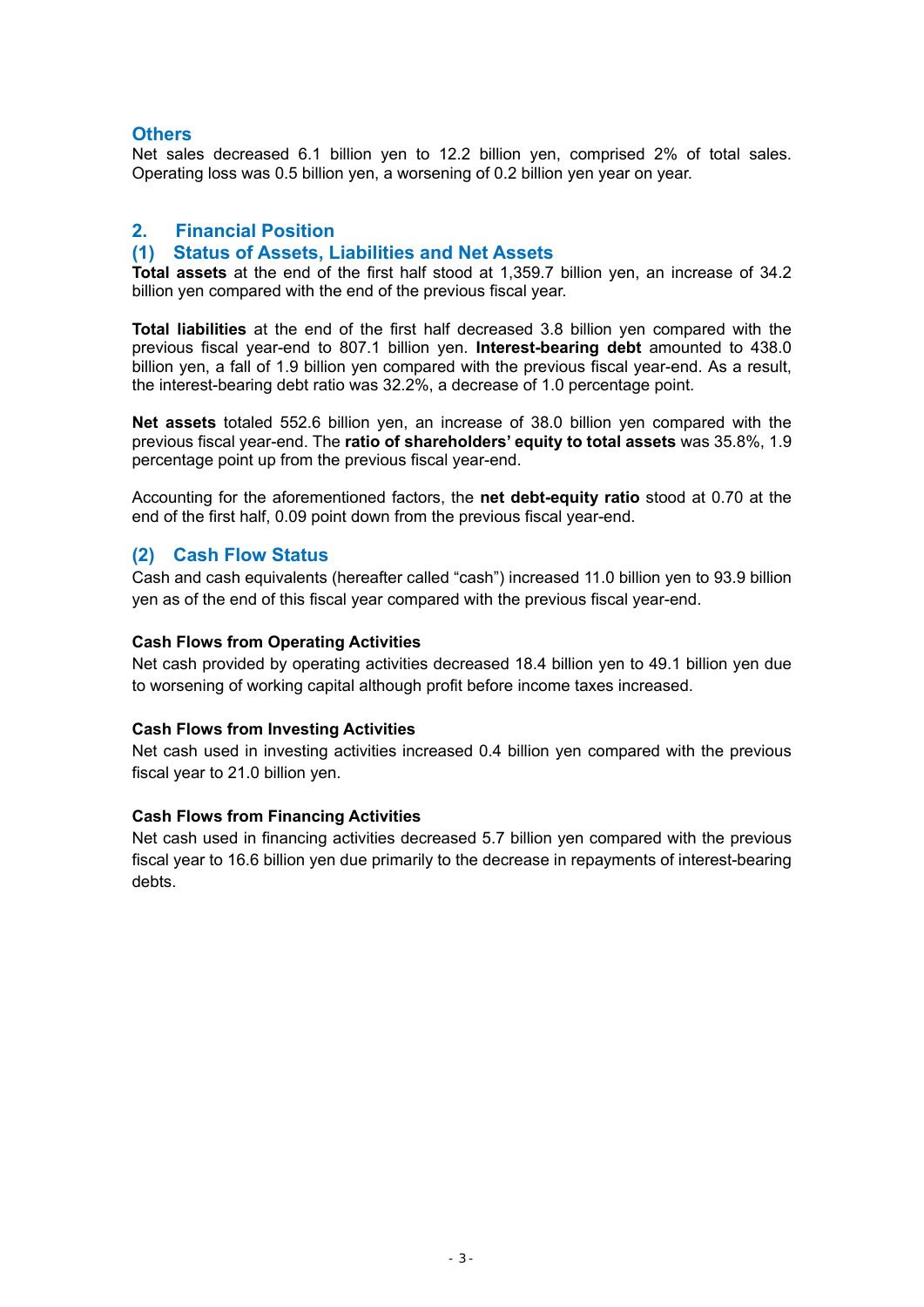# **Others**

Net sales decreased 6.1 billion yen to 12.2 billion yen, comprised 2% of total sales. Operating loss was 0.5 billion yen, a worsening of 0.2 billion yen year on year.

# **2. Financial Position**

# **(1) Status of Assets, Liabilities and Net Assets**

**Total assets** at the end of the first half stood at 1,359.7 billion yen, an increase of 34.2 billion yen compared with the end of the previous fiscal year.

**Total liabilities** at the end of the first half decreased 3.8 billion yen compared with the previous fiscal year-end to 807.1 billion yen. **Interest-bearing debt** amounted to 438.0 billion yen, a fall of 1.9 billion yen compared with the previous fiscal year-end. As a result, the interest-bearing debt ratio was 32.2%, a decrease of 1.0 percentage point.

**Net assets** totaled 552.6 billion yen, an increase of 38.0 billion yen compared with the previous fiscal year-end. The **ratio of shareholders' equity to total assets** was 35.8%, 1.9 percentage point up from the previous fiscal year-end.

Accounting for the aforementioned factors, the **net debt-equity ratio** stood at 0.70 at the end of the first half, 0.09 point down from the previous fiscal year-end.

# **(2) Cash Flow Status**

Cash and cash equivalents (hereafter called "cash") increased 11.0 billion yen to 93.9 billion yen as of the end of this fiscal year compared with the previous fiscal year-end.

### **Cash Flows from Operating Activities**

Net cash provided by operating activities decreased 18.4 billion yen to 49.1 billion yen due to worsening of working capital although profit before income taxes increased.

### **Cash Flows from Investing Activities**

Net cash used in investing activities increased 0.4 billion yen compared with the previous fiscal year to 21.0 billion yen.

### **Cash Flows from Financing Activities**

Net cash used in financing activities decreased 5.7 billion yen compared with the previous fiscal year to 16.6 billion yen due primarily to the decrease in repayments of interest-bearing debts.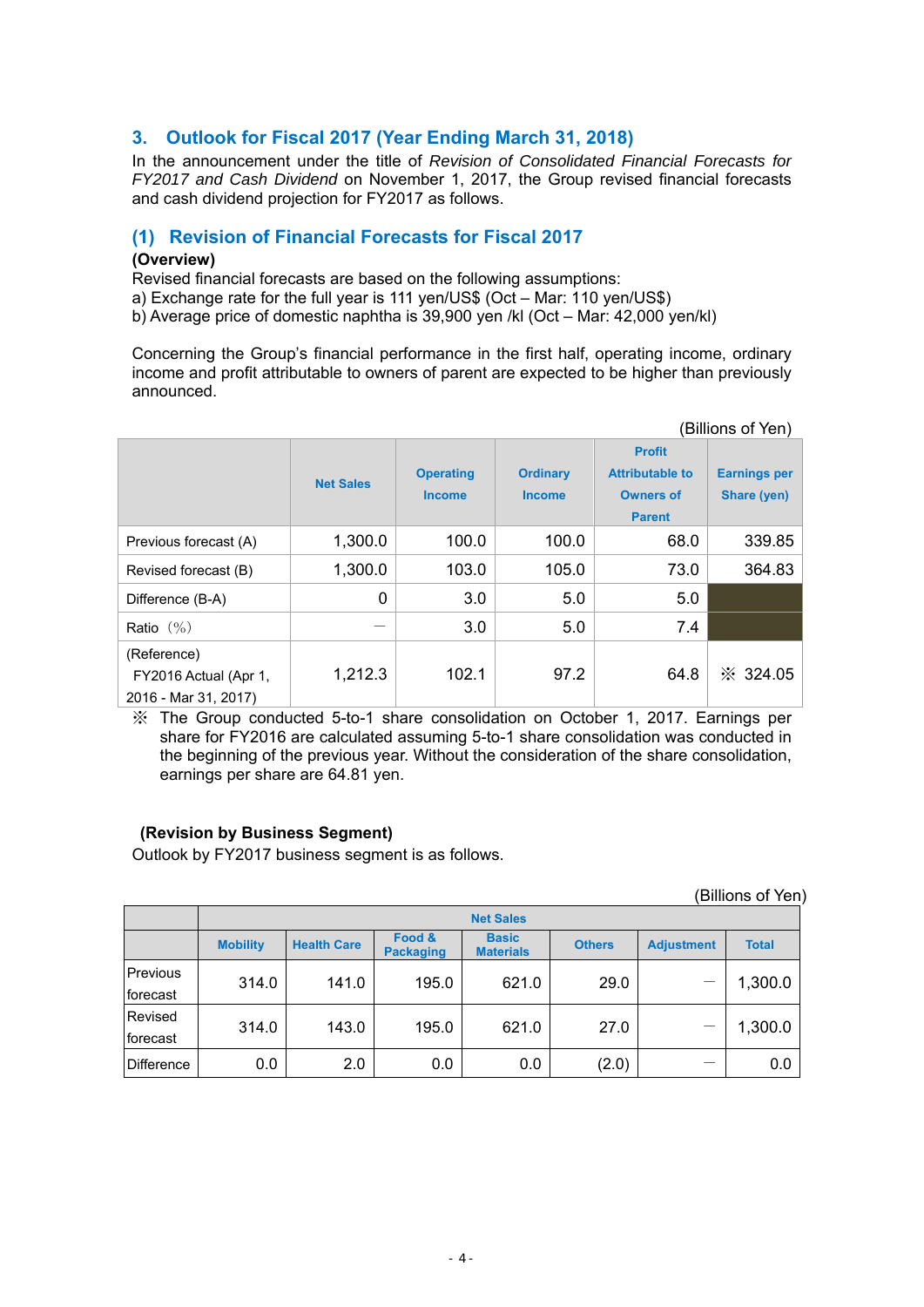# **3. Outlook for Fiscal 2017 (Year Ending March 31, 2018)**

In the announcement under the title of *Revision of Consolidated Financial Forecasts for FY2017 and Cash Dividend* on November 1, 2017, the Group revised financial forecasts and cash dividend projection for FY2017 as follows.

# **(1) Revision of Financial Forecasts for Fiscal 2017**

### **(Overview)**

Revised financial forecasts are based on the following assumptions:

a) Exchange rate for the full year is 111 yen/US\$ (Oct – Mar: 110 yen/US\$)

b) Average price of domestic naphtha is 39,900 yen /kl (Oct – Mar: 42,000 yen/kl)

Concerning the Group's financial performance in the first half, operating income, ordinary income and profit attributable to owners of parent are expected to be higher than previously announced.

|                                                              |                  |                                   |                                  |                                                                              | (Billions of Yen)                  |
|--------------------------------------------------------------|------------------|-----------------------------------|----------------------------------|------------------------------------------------------------------------------|------------------------------------|
|                                                              | <b>Net Sales</b> | <b>Operating</b><br><b>Income</b> | <b>Ordinary</b><br><b>Income</b> | <b>Profit</b><br><b>Attributable to</b><br><b>Owners of</b><br><b>Parent</b> | <b>Earnings per</b><br>Share (yen) |
| Previous forecast (A)                                        | 1,300.0          | 100.0                             | 100.0                            | 68.0                                                                         | 339.85                             |
| Revised forecast (B)                                         | 1,300.0          | 103.0                             | 105.0                            | 73.0                                                                         | 364.83                             |
| Difference (B-A)                                             | 0                | 3.0                               | 5.0                              | 5.0                                                                          |                                    |
| Ratio $(\% )$                                                |                  | 3.0                               | 5.0                              | 7.4                                                                          |                                    |
| (Reference)<br>FY2016 Actual (Apr 1,<br>2016 - Mar 31, 2017) | 1,212.3          | 102.1                             | 97.2                             | 64.8                                                                         | $\frac{1}{2}$ 324.05               |

※ The Group conducted 5-to-1 share consolidation on October 1, 2017. Earnings per share for FY2016 are calculated assuming 5-to-1 share consolidation was conducted in the beginning of the previous year. Without the consideration of the share consolidation, earnings per share are 64.81 yen.

# **(Revision by Business Segment)**

Outlook by FY2017 business segment is as follows.

|                      |                  |                    |                            |                                  |               |                   | (Billions of Yen) |  |
|----------------------|------------------|--------------------|----------------------------|----------------------------------|---------------|-------------------|-------------------|--|
|                      | <b>Net Sales</b> |                    |                            |                                  |               |                   |                   |  |
|                      | <b>Mobility</b>  | <b>Health Care</b> | Food &<br><b>Packaging</b> | <b>Basic</b><br><b>Materials</b> | <b>Others</b> | <b>Adjustment</b> | <b>Total</b>      |  |
| Previous<br>forecast | 314.0            | 141.0              | 195.0                      | 621.0                            | 29.0          |                   | 1,300.0           |  |
| Revised<br>forecast  | 314.0            | 143.0              | 195.0                      | 621.0                            | 27.0          |                   | 1,300.0           |  |
| Difference           | 0.0              | 2.0                | 0.0                        | 0.0                              | (2.0)         |                   | 0.0               |  |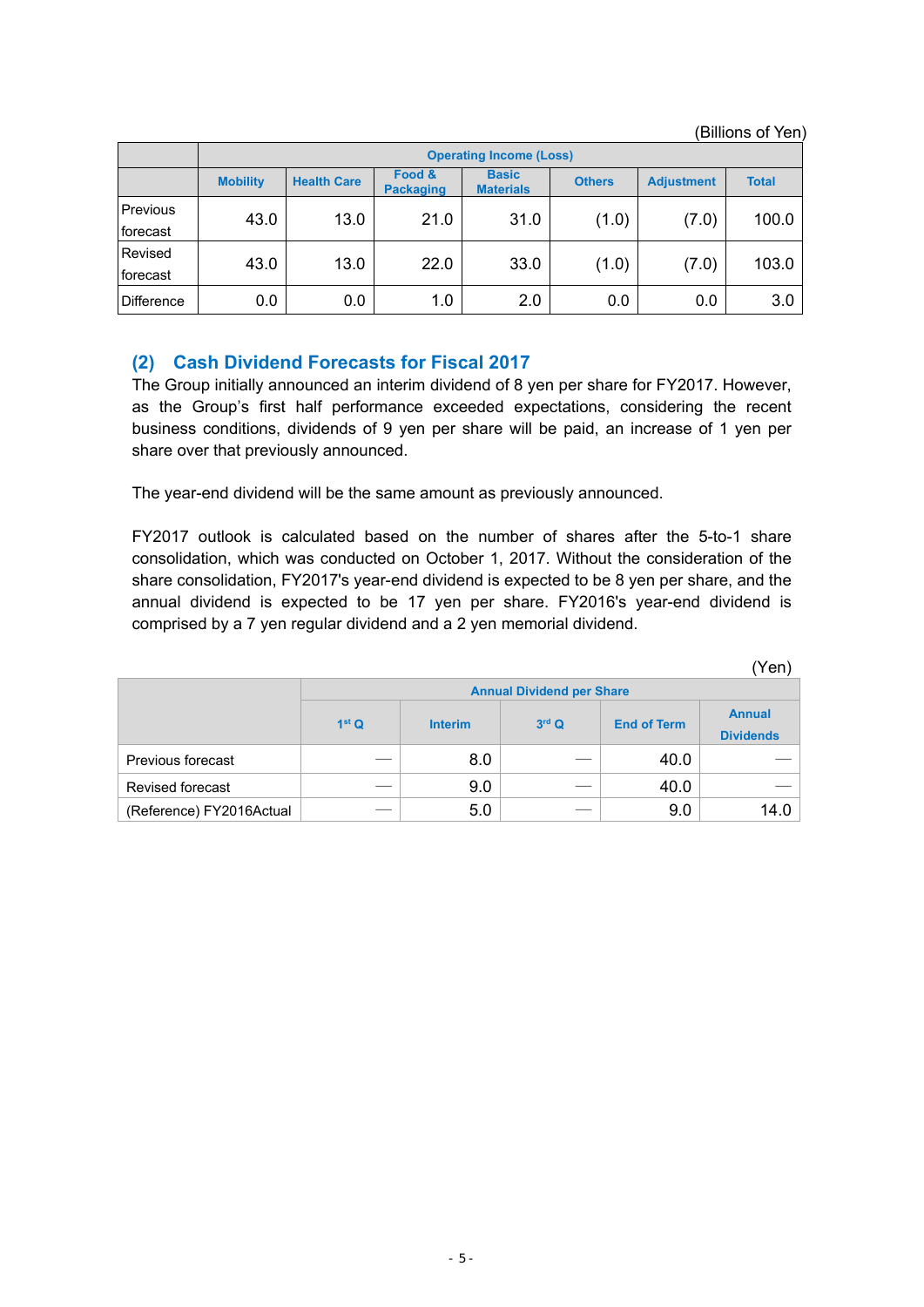(Billions of Yen)

 $\mathbb{R}^3$  (yen)

|                      | <b>Operating Income (Loss)</b> |                    |                            |                                  |               |                   |              |
|----------------------|--------------------------------|--------------------|----------------------------|----------------------------------|---------------|-------------------|--------------|
|                      | <b>Mobility</b>                | <b>Health Care</b> | Food &<br><b>Packaging</b> | <b>Basic</b><br><b>Materials</b> | <b>Others</b> | <b>Adjustment</b> | <b>Total</b> |
| Previous<br>forecast | 43.0                           | 13.0               | 21.0                       | 31.0                             | (1.0)         | (7.0)             | 100.0        |
| Revised<br>forecast  | 43.0                           | 13.0               | 22.0                       | 33.0                             | (1.0)         | (7.0)             | 103.0        |
| <b>Difference</b>    | 0.0                            | 0.0                | 1.0                        | 2.0                              | 0.0           | 0.0               | 3.0          |

# **(2) Cash Dividend Forecasts for Fiscal 2017**

The Group initially announced an interim dividend of 8 yen per share for FY2017. However, as the Group's first half performance exceeded expectations, considering the recent business conditions, dividends of 9 yen per share will be paid, an increase of 1 yen per share over that previously announced.

The year-end dividend will be the same amount as previously announced.

FY2017 outlook is calculated based on the number of shares after the 5-to-1 share consolidation, which was conducted on October 1, 2017. Without the consideration of the share consolidation, FY2017's year-end dividend is expected to be 8 yen per share, and the annual dividend is expected to be 17 yen per share. FY2016's year-end dividend is comprised by a 7 yen regular dividend and a 2 yen memorial dividend.

|                          |                   |                |         |                    | Yen                               |
|--------------------------|-------------------|----------------|---------|--------------------|-----------------------------------|
|                          |                   |                |         |                    |                                   |
|                          | 1 <sup>st</sup> Q | <b>Interim</b> | $3rd$ Q | <b>End of Term</b> | <b>Annual</b><br><b>Dividends</b> |
| Previous forecast        |                   | 8.0            |         | 40.0               |                                   |
| Revised forecast         |                   | 9.0            |         | 40.0               |                                   |
| (Reference) FY2016Actual |                   | 5.0            |         | 9.0                | 14.0                              |